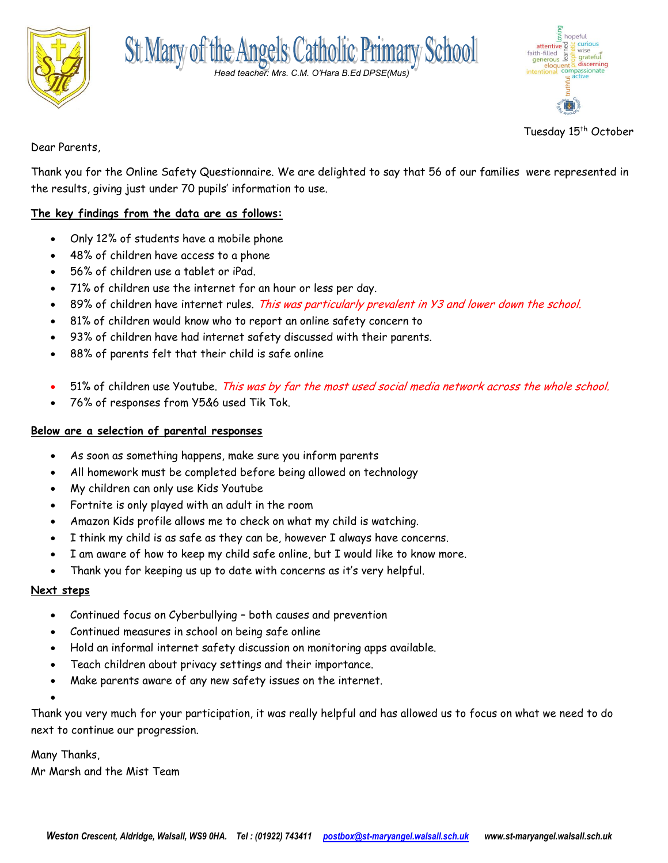



| hopeful                                                   |
|-----------------------------------------------------------|
| curious                                                   |
| attentive<br>th-filled<br>enerous<br>wise<br>faith-filled |
| gratefu<br>generous<br>discerning                         |
| eloquent<br><i><b>passionate</b></i><br>CO                |
| active                                                    |
|                                                           |
|                                                           |
|                                                           |
| arol                                                      |
|                                                           |

Tuesday 15<sup>th</sup> October

Dear Parents,

Thank you for the Online Safety Questionnaire. We are delighted to say that 56 of our families were represented in the results, giving just under 70 pupils' information to use.

## **The key findings from the data are as follows:**

- Only 12% of students have a mobile phone
- 48% of children have access to a phone
- 56% of children use a tablet or iPad.
- 71% of children use the internet for an hour or less per day.
- 89% of children have internet rules. This was particularly prevalent in Y3 and lower down the school.
- 81% of children would know who to report an online safety concern to
- 93% of children have had internet safety discussed with their parents.
- 88% of parents felt that their child is safe online
- 51% of children use Youtube. This was by far the most used social media network across the whole school.
- 76% of responses from Y5&6 used Tik Tok.

## **Below are a selection of parental responses**

- As soon as something happens, make sure you inform parents
- All homework must be completed before being allowed on technology
- My children can only use Kids Youtube
- Fortnite is only played with an adult in the room
- Amazon Kids profile allows me to check on what my child is watching.
- I think my child is as safe as they can be, however I always have concerns.
- I am aware of how to keep my child safe online, but I would like to know more.
- Thank you for keeping us up to date with concerns as it's very helpful.

## **Next steps**

- Continued focus on Cyberbullying both causes and prevention
- Continued measures in school on being safe online
- Hold an informal internet safety discussion on monitoring apps available.
- Teach children about privacy settings and their importance.
- Make parents aware of any new safety issues on the internet.

Thank you very much for your participation, it was really helpful and has allowed us to focus on what we need to do next to continue our progression.

Many Thanks,

 $\bullet$ 

Mr Marsh and the Mist Team